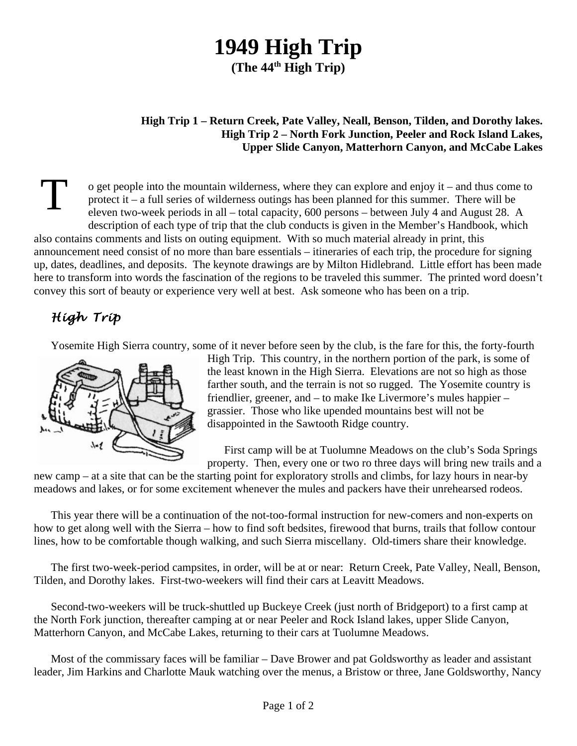## **1949 High Trip**

**(The 44th High Trip)**

## **High Trip 1 – Return Creek, Pate Valley, Neall, Benson, Tilden, and Dorothy lakes. High Trip 2 – North Fork Junction, Peeler and Rock Island Lakes, Upper Slide Canyon, Matterhorn Canyon, and McCabe Lakes**

T o get people into the mountain wilderness, where they can explore and enjoy it – and thus come to protect it – a full series of wilderness outings has been planned for this summer. There will be eleven two-week periods in all – total capacity, 600 persons – between July 4 and August 28. A description of each type of trip that the club conducts is given in the Member's Handbook, which also contains comments and lists on outing equipment. With so much material already in print, this announcement need consist of no more than bare essentials – itineraries of each trip, the procedure for signing up, dates, deadlines, and deposits. The keynote drawings are by Milton Hidlebrand. Little effort has been made here to transform into words the fascination of the regions to be traveled this summer. The printed word doesn't convey this sort of beauty or experience very well at best. Ask someone who has been on a trip.

## *High Trip*

Yosemite High Sierra country, some of it never before seen by the club, is the fare for this, the forty-fourth



High Trip. This country, in the northern portion of the park, is some of the least known in the High Sierra. Elevations are not so high as those farther south, and the terrain is not so rugged. The Yosemite country is friendlier, greener, and – to make Ike Livermore's mules happier – grassier. Those who like upended mountains best will not be disappointed in the Sawtooth Ridge country.

First camp will be at Tuolumne Meadows on the club's Soda Springs property. Then, every one or two ro three days will bring new trails and a

new camp – at a site that can be the starting point for exploratory strolls and climbs, for lazy hours in near-by meadows and lakes, or for some excitement whenever the mules and packers have their unrehearsed rodeos.

This year there will be a continuation of the not-too-formal instruction for new-comers and non-experts on how to get along well with the Sierra – how to find soft bedsites, firewood that burns, trails that follow contour lines, how to be comfortable though walking, and such Sierra miscellany. Old-timers share their knowledge.

The first two-week-period campsites, in order, will be at or near: Return Creek, Pate Valley, Neall, Benson, Tilden, and Dorothy lakes. First-two-weekers will find their cars at Leavitt Meadows.

Second-two-weekers will be truck-shuttled up Buckeye Creek (just north of Bridgeport) to a first camp at the North Fork junction, thereafter camping at or near Peeler and Rock Island lakes, upper Slide Canyon, Matterhorn Canyon, and McCabe Lakes, returning to their cars at Tuolumne Meadows.

Most of the commissary faces will be familiar – Dave Brower and pat Goldsworthy as leader and assistant leader, Jim Harkins and Charlotte Mauk watching over the menus, a Bristow or three, Jane Goldsworthy, Nancy